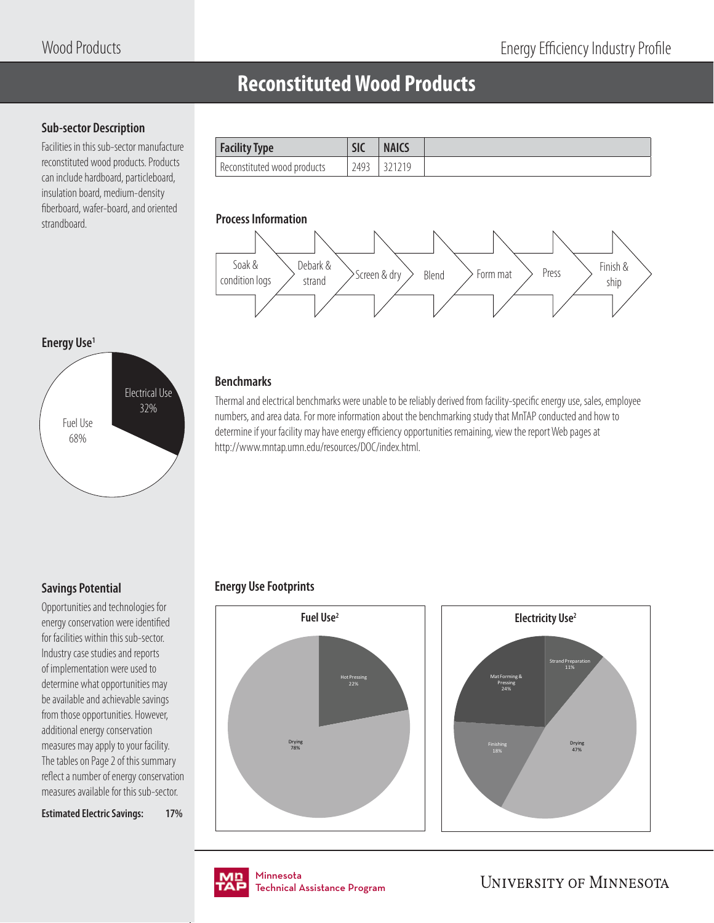# **Reconstituted Wood Products**

# **Sub-sector Description**

Facilities in this sub-sector manufacture reconstituted wood products. Products can include hardboard, particleboard, insulation board, medium-density fiberboard, wafer-board, and oriented strandboard. **Process Information**

| <b>Facility Type</b>        | SIC  | <b>NAICS</b> |
|-----------------------------|------|--------------|
| Reconstituted wood products | 2493 |              |



# **Energy Use1**



### **Benchmarks**

Thermal and electrical benchmarks were unable to be reliably derived from facility-specific energy use, sales, employee numbers, and area data. For more information about the benchmarking study that MnTAP conducted and how to determine if your facility may have energy efficiency opportunities remaining, view the report Web pages at http://www.mntap.umn.edu/resources/DOC/index.html.

# **Savings Potential**

Opportunities and technologies for energy conservation were identified for facilities within this sub-sector. Industry case studies and reports of implementation were used to determine what opportunities may be available and achievable savings from those opportunities. However, additional energy conservation measures may apply to your facility. The tables on Page 2 of this summary reflect a number of energy conservation measures available for this sub-sector.

**Estimated Electric Savings: 17%**

# **Energy Use Footprints**







.<br>Tochnical / Technical Assistance Program **UNIVERSITY OF MINNESOTA**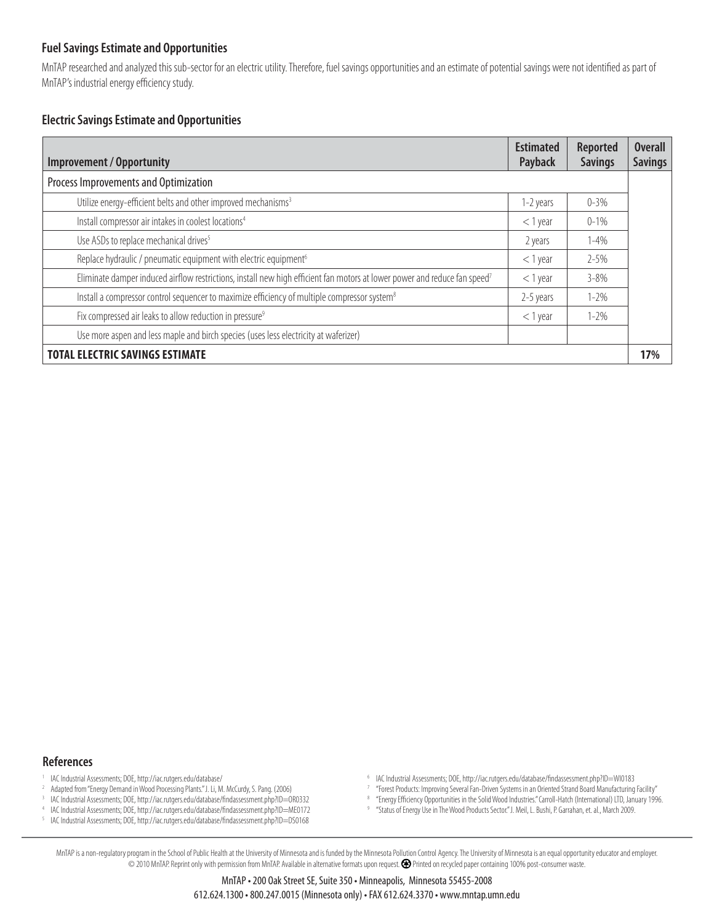## **Fuel Savings Estimate and Opportunities**

MnTAP researched and analyzed this sub-sector for an electric utility. Therefore, fuel savings opportunities and an estimate of potential savings were not identified as part of MnTAP's industrial energy efficiency study.

#### **Electric Savings Estimate and Opportunities**

| <b>Improvement / Opportunity</b>                                                                                                      | <b>Estimated</b><br>Payback | <b>Reported</b><br><b>Savings</b> | <b>Overall</b><br><b>Savings</b> |  |  |
|---------------------------------------------------------------------------------------------------------------------------------------|-----------------------------|-----------------------------------|----------------------------------|--|--|
| Process Improvements and Optimization                                                                                                 |                             |                                   |                                  |  |  |
| Utilize energy-efficient belts and other improved mechanisms <sup>3</sup>                                                             | 1-2 years                   | $0 - 3\%$                         |                                  |  |  |
| Install compressor air intakes in coolest locations <sup>4</sup>                                                                      | $<$ 1 year                  | $0 - 1\%$                         |                                  |  |  |
| Use ASDs to replace mechanical drives <sup>5</sup>                                                                                    | 2 years                     | $1 - 4%$                          |                                  |  |  |
| Replace hydraulic / pneumatic equipment with electric equipment <sup>6</sup>                                                          | $<$ 1 year                  | $2 - 5%$                          |                                  |  |  |
| Eliminate damper induced airflow restrictions, install new high efficient fan motors at lower power and reduce fan speed <sup>7</sup> | $<$ 1 year                  | $3 - 8\%$                         |                                  |  |  |
| Install a compressor control sequencer to maximize efficiency of multiple compressor system <sup>8</sup>                              | 2-5 years                   | $1 - 2\%$                         |                                  |  |  |
| Fix compressed air leaks to allow reduction in pressure <sup>9</sup>                                                                  | $<$ 1 year                  | $1 - 2\%$                         |                                  |  |  |
| Use more aspen and less maple and birch species (uses less electricity at waferizer)                                                  |                             |                                   |                                  |  |  |
| <b>TOTAL ELECTRIC SAVINGS ESTIMATE</b>                                                                                                |                             |                                   |                                  |  |  |

**References**

- 1 IAC Industrial Assessments; DOE, http://iac.rutgers.edu/database/
- <sup>2</sup> Adapted from "Energy Demand in Wood Processing Plants." J. Li, M. McCurdy, S. Pang. (2006)
- <sup>3</sup> IAC Industrial Assessments; DOE, http://iac.rutgers.edu/database/findassessment.php?ID=OR0332
- 4 IAC Industrial Assessments; DOE, http://iac.rutgers.edu/database/fi ndassessment.php?ID=ME0172
- <sup>5</sup> IAC Industrial Assessments; DOE, http://iac.rutgers.edu/database/findassessment.php?ID=DS0168
- <sup>6</sup> IAC Industrial Assessments; DOE, http://iac.rutgers.edu/database/findassessment.php?ID=WI0183
- 7 "Forest Products: Improving Several Fan-Driven Systems in an Oriented Strand Board Manufacturing Facility"
- <sup>8</sup> "Energy Efficiency Opportunities in the Solid Wood Industries." Carroll-Hatch (International) LTD, January 1996.
- <sup>9</sup> "Status of Energy Use in The Wood Products Sector." J. Meil, L. Bushi, P. Garrahan, et. al., March 2009.

MnTAP is a non-regulatory program in the School of Public Health at the University of Minnesota and is funded by the Minnesota Pollution Control Agency. The University of Minnesota is an equal opportunity educator and empl © 2010 MnTAP. Reprint only with permission from MnTAP. Available in alternative formats upon request. Printed on recycled paper containing 100% post-consumer waste.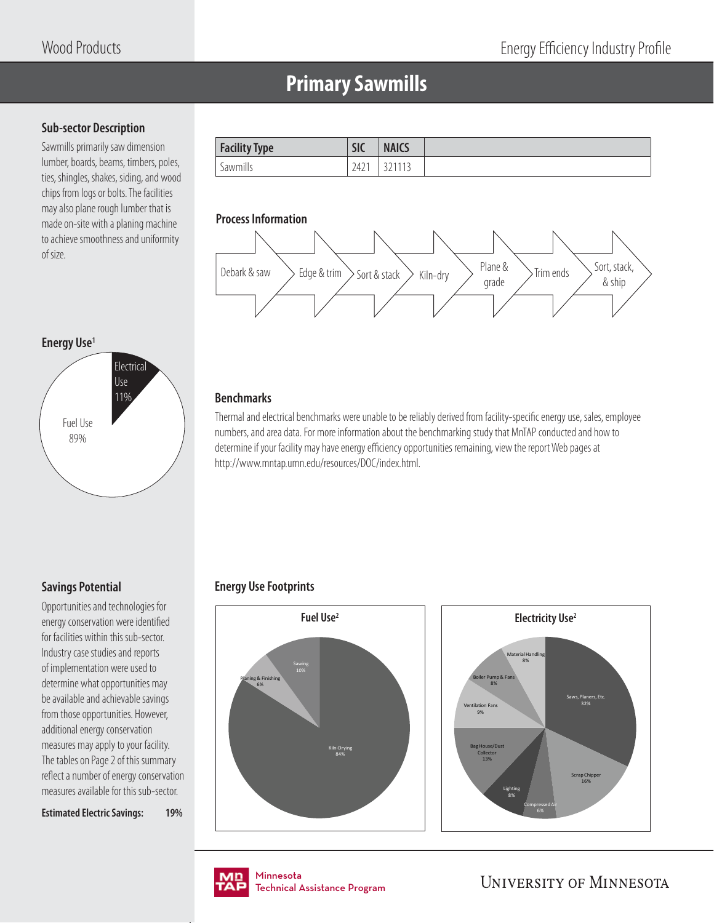# **Primary Sawmills**

# **Sub-sector Description**

Sawmills primarily saw dimension lumber, boards, beams, timbers, poles, ties, shingles, shakes, siding, and wood chips from logs or bolts. The facilities may also plane rough lumber that is made on-site with a planing machine to achieve smoothness and uniformity of size.

| <b>Facility Type</b> | <b>SIC</b> | <b>NAICS</b>        |
|----------------------|------------|---------------------|
| Sawmills             | 121<br>242 | <b>224442</b><br>JL |

## **Process Information**



## **Energy Use1**



# **Benchmarks**

Thermal and electrical benchmarks were unable to be reliably derived from facility-specific energy use, sales, employee numbers, and area data. For more information about the benchmarking study that MnTAP conducted and how to determine if your facility may have energy efficiency opportunities remaining, view the report Web pages at http://www.mntap.umn.edu/resources/DOC/index.html.

# **Savings Potential**

Opportunities and technologies for energy conservation were identified for facilities within this sub-sector. Industry case studies and reports of implementation were used to determine what opportunities may be available and achievable savings from those opportunities. However, additional energy conservation measures may apply to your facility. The tables on Page 2 of this summary reflect a number of energy conservation measures available for this sub-sector.

**Estimated Electric Savings: 19%**

# **Energy Use Footprints**







Minnesota .<br>Tochnical / Technical Assistance Program

**UNIVERSITY OF MINNESOTA**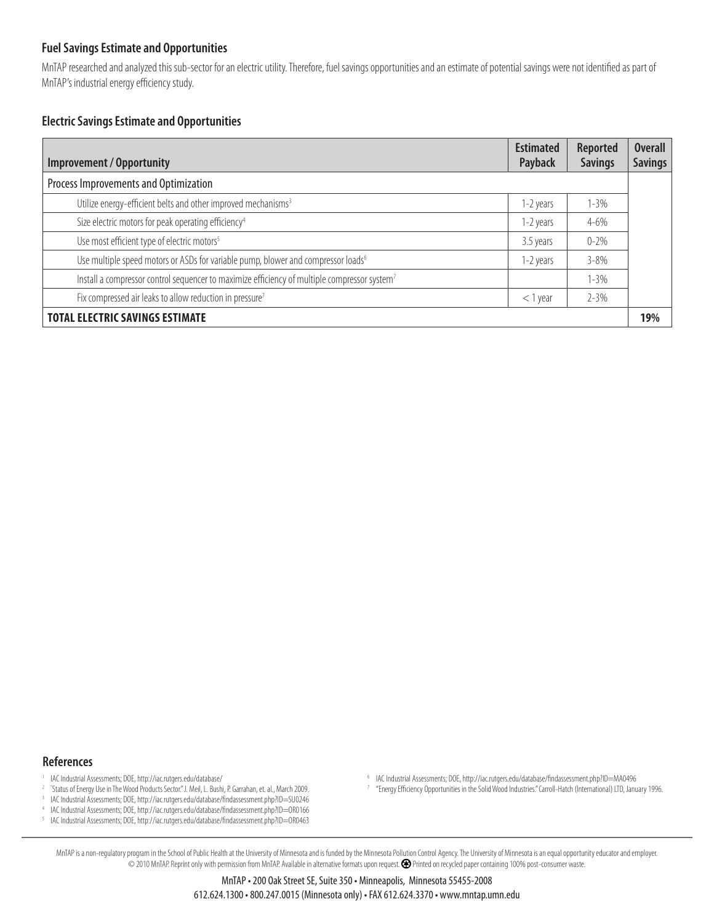### **Fuel Savings Estimate and Opportunities**

MnTAP researched and analyzed this sub-sector for an electric utility. Therefore, fuel savings opportunities and an estimate of potential savings were not identified as part of MnTAP's industrial energy efficiency study.

#### **Electric Savings Estimate and Opportunities**

| <b>Improvement / Opportunity</b>                                                                         | <b>Estimated</b><br>Payback | Reported<br><b>Savings</b> | <b>Overall</b><br><b>Savings</b> |  |  |
|----------------------------------------------------------------------------------------------------------|-----------------------------|----------------------------|----------------------------------|--|--|
| Process Improvements and Optimization                                                                    |                             |                            |                                  |  |  |
| Utilize energy-efficient belts and other improved mechanisms <sup>3</sup>                                | 1-2 years                   | $1 - 3\%$                  |                                  |  |  |
| Size electric motors for peak operating efficiency <sup>4</sup>                                          | 1-2 years                   | $4 - 6\%$                  |                                  |  |  |
| Use most efficient type of electric motors <sup>5</sup>                                                  | 3.5 years                   | $0 - 2\%$                  |                                  |  |  |
| Use multiple speed motors or ASDs for variable pump, blower and compressor loads <sup>6</sup>            | 1-2 years                   | $3 - 8\%$                  |                                  |  |  |
| Install a compressor control sequencer to maximize efficiency of multiple compressor system <sup>7</sup> |                             | $1 - 3\%$                  |                                  |  |  |
| Fix compressed air leaks to allow reduction in pressure <sup>7</sup>                                     | $<$ 1 year                  | $2 - 3%$                   |                                  |  |  |
| <b>TOTAL ELECTRIC SAVINGS ESTIMATE</b>                                                                   |                             |                            |                                  |  |  |

#### **References**

- 1 IAC Industrial Assessments; DOE, http://iac.rutgers.edu/database/
- <sup>2</sup> "Status of Energy Use in The Wood Products Sector." J. Meil, L. Bushi, P. Garrahan, et. al., March 2009.
- <sup>3</sup> IAC Industrial Assessments; DOE, http://iac.rutgers.edu/database/findassessment.php?ID=SU0246
- <sup>4</sup> IAC Industrial Assessments; DOE, http://iac.rutgers.edu/database/findassessment.php?ID=OR0166 <sup>5</sup> IAC Industrial Assessments; DOE, http://iac.rutgers.edu/database/findassessment.php?ID=OR0463
- <sup>6</sup> IAC Industrial Assessments; DOE, http://iac.rutgers.edu/database/findassessment.php?ID=MA0496
- <sup>7</sup> "Energy Efficiency Opportunities in the Solid Wood Industries." Carroll-Hatch (International) LTD, January 1996.

MnTAP is a non-regulatory program in the School of Public Health at the University of Minnesota and is funded by the Minnesota Pollution Control Agency. The University of Minnesota is an equal opportunity educator and empl © 2010 MnTAP. Reprint only with permission from MnTAP. Available in alternative formats upon request. Printed on recycled paper containing 100% post-consumer waste.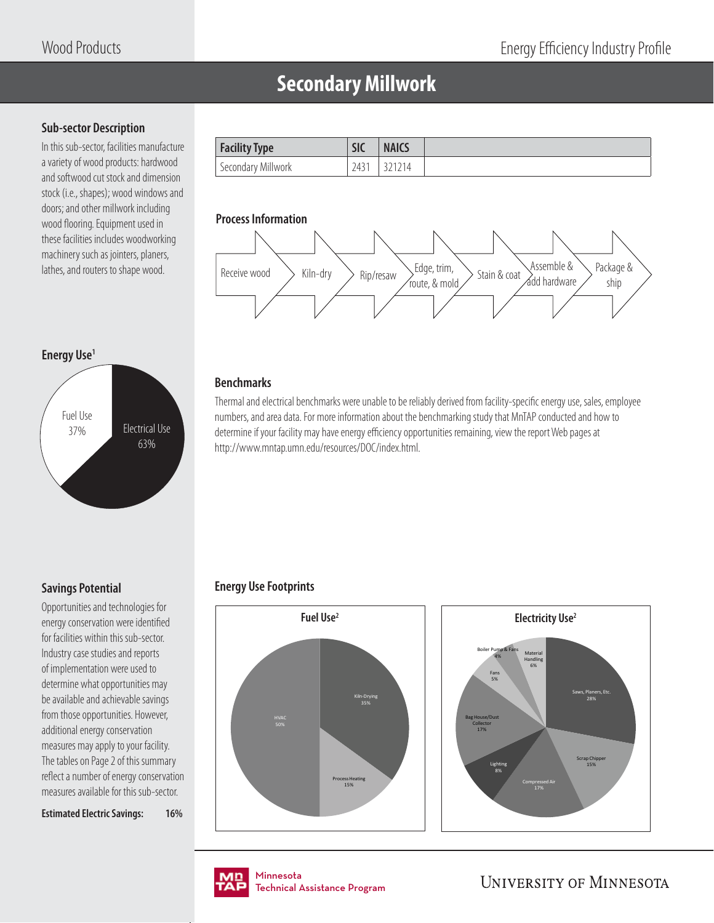# **Secondary Millwork**

# **Sub-sector Description**

In this sub-sector, facilities manufacture a variety of wood products: hardwood and softwood cut stock and dimension stock (i.e., shapes); wood windows and doors; and other millwork including wood flooring. Equipment used in these facilities includes woodworking machinery such as jointers, planers, lathes, and routers to shape wood.

| <b>Facility Type</b> | <b>SIC</b> | <b>NAICS</b>   |  |
|----------------------|------------|----------------|--|
| Secondary Millwork   | 2431       | -14<br>1 L I T |  |

## **Process Information**



#### **Energy Use1**



### **Benchmarks**

Thermal and electrical benchmarks were unable to be reliably derived from facility-specific energy use, sales, employee numbers, and area data. For more information about the benchmarking study that MnTAP conducted and how to determine if your facility may have energy efficiency opportunities remaining, view the report Web pages at http://www.mntap.umn.edu/resources/DOC/index.html.

# **Savings Potential**

Opportunities and technologies for energy conservation were identified for facilities within this sub-sector. Industry case studies and reports of implementation were used to determine what opportunities may be available and achievable savings from those opportunities. However, additional energy conservation measures may apply to your facility. The tables on Page 2 of this summary reflect a number of energy conservation measures available for this sub-sector.

**Estimated Electric Savings: 16%**

# **Energy Use Footprints**







Minnesota .<br>Tochnical / Technical Assistance Program

**UNIVERSITY OF MINNESOTA**